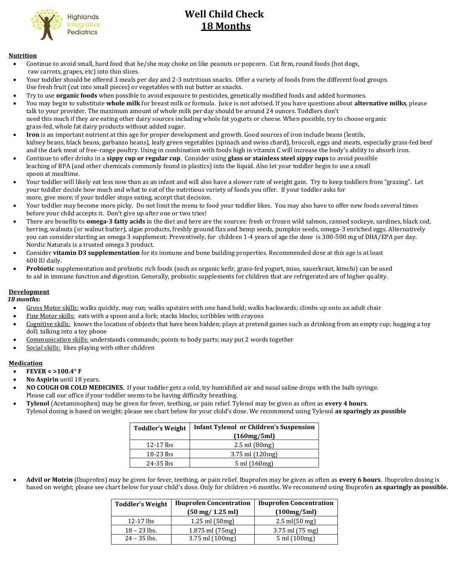

# **Well Child Check 18 Months**

#### **Nutrition**

- Continue to avoid small, hard food that he/she may choke on like peanuts or popcorn. Cut firm, round foods (hot dogs, raw carrots, grapes, etc) into thin slices.
- Your toddler should be offered 3 meals per day and 2-3 nutritious snacks. Offer a variety of foods from the different food groups. Use fresh fruit (cut into small pieces) or vegetables with nut butter as snacks.
- Try to use **organic foods** when possible to avoid exposure to pesticides, genetically modified foods and added hormones.
- You may begin to substitute **whole milk** for breast milk or formula. Juice is not advised. If you have questions about **alternative milks**, please talk to your provider. The maximum amount of whole milk per day should be around 24 ounces. Toddlers don't need this much if they are eating other dairy sources including whole fat yogurts or cheese. When possible, try to choose organic grass-fed, whole fat dairy products without added sugar.
- **Iron** is an important nutrient at this age for proper development and growth. Good sources of iron include beans (lentils, kidney beans, black beans, garbanzo beans), leafy green vegetables (spinach and swiss chard), broccoli, eggs and meats, especially grass-fed beef and the dark meat of free-range poultry. Using in combination with foods high in vitamin C will increase the body's ability to absorb iron.
- Continue to offer drinks in a **sippy cup or regular cup**. Consider using **glass or stainless steel sippy cups** to avoid possible leaching of BPA (and other chemicals commonly found in plastics) into the liquid. Also let your toddler begin to use a small spoon at mealtime.
- Your toddler will likely eat less now than as an infant and will also have a slower rate of weight gain. Try to keep toddlers from "grazing". Let your toddler decide how much and what to eat of the nutritious variety of foods you offer. If your toddler asks for more, give more; if your toddler stops eating, accept that decision.
- Your toddler may become more picky. Do not limit the menu to food your toddler likes. You may also have to offer new foods several times before your child accepts it. Don't give up after one or two tries!
- There are benefits to **omega-3 fatty acids** in the diet and here are the sources: fresh or frozen wild salmon, canned sockeye, sardines, black cod, herring, walnuts (or walnut butter), algae products, freshly ground flax and hemp seeds, pumpkin seeds, omega-3 enriched eggs. Alternatively you can consider starting an omega 3 supplement: Preventively, for children 1-4 years of age the dose is 300-500 mg of DHA/EPA per day. Nordic Naturals is a trusted omega 3 product.
- Consider **vitamin D3 supplementation** for its immune and bone building properties. Recommended dose at this age is at least 600 IU daily.
- **Probiotic** supplementation and probiotic rich foods (such as organic kefir, grass-fed yogurt, miso, sauerkraut, kimchi) can be used to aid in immune function and digestion. Generally, probiotic supplements for children that are refrigerated are of higher quality.

#### **Development**

#### *18 months:*

- Gross Motor skills: walks quickly, may run; walks upstairs with one hand held; walks backwards; climbs up onto an adult chair
- Fine Motor skills: eats with a spoon and a fork; stacks blocks; scribbles with crayons
- Cognitive skills: knows the location of objects that have been hidden; plays at pretend games such as drinking from an empty cup; hugging a toy doll; talking into a toy phone
- Communication skills: understands commands; points to body parts; may put 2 words together
- Social skills: likes playing with other children

#### **Medication**

- **FEVER = >100.4° F**
- **No Aspirin** until 18 years.
- **NO COUGH OR COLD MEDICINES.** If your toddler gets a cold, try humidified air and nasal saline drops with the bulb syringe. Please call our office if your toddler seems to be having difficulty breathing.
- **Tylenol** (Acetaminophen) may be given for fever, teething, or pain relief. Tylenol may be given as often as **every 4 hours**. Tylenol dosing is based on weight; please see chart below for your child's dose. We recommend using Tylenol **as sparingly as possible**

| <b>Toddler's Weight</b> | <b>Infant Tylenol or Children's Suspension</b> |  |
|-------------------------|------------------------------------------------|--|
|                         | (160mg/5ml)                                    |  |
| $12-17$ lbs             | $2.5$ ml $(80mg)$                              |  |
| 18-23 lbs               | $3.75$ ml $(120mg)$                            |  |
| 24-35 lbs               | $5 \text{ ml} (160 \text{ mg})$                |  |

 **Advil or Motrin** (Ibuprofen) may be given for fever, teething, or pain relief. Ibuprofen may be given as often as **every 6 hours**. Ibuprofen dosing is based on weight; please see chart below for your child's dose. Only for children >6 months. We recommend using Ibuprofen **as sparingly as possible.**

| <b>Toddler's Weight</b> | <b>Ibuprofen Concentration</b>     | <b>Ibuprofen Concentration</b>   |
|-------------------------|------------------------------------|----------------------------------|
|                         | $(50 \text{ mg}/ 1.25 \text{ ml})$ | (100mg/5ml)                      |
| $12-17$ lbs             | $1.25$ ml $(50$ mg)                | $2.5 \text{ ml} (50 \text{ mg})$ |
| $18 - 23$ lbs.          | 1.875 ml (75mg)                    | $3.75$ ml $(75 \text{ mg})$      |
| $24 - 35$ lbs.          | 3.75 ml (100mg)                    | 5 ml (100mg)                     |